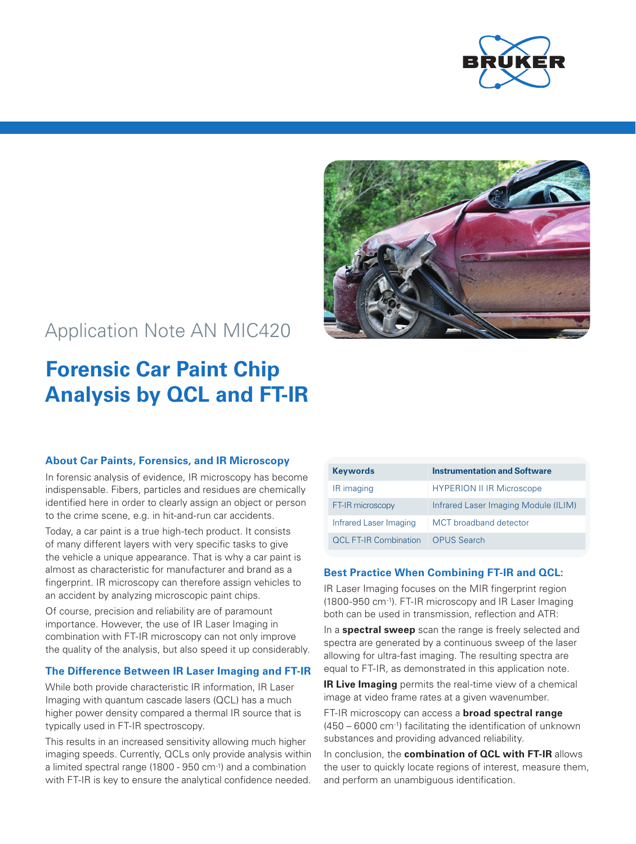



## Application Note AN MIC420

# **Forensic Car Paint Chip Analysis by QCL and FT-IR**

## **About Car Paints, Forensics, and IR Microscopy**

In forensic analysis of evidence, IR microscopy has become indispensable. Fibers, particles and residues are chemically identified here in order to clearly assign an object or person to the crime scene, e.g. in hit-and-run car accidents.

Today, a car paint is a true high-tech product. It consists of many different layers with very specific tasks to give the vehicle a unique appearance. That is why a car paint is almost as characteristic for manufacturer and brand as a fingerprint. IR microscopy can therefore assign vehicles to an accident by analyzing microscopic paint chips.

Of course, precision and reliability are of paramount importance. However, the use of IR Laser Imaging in combination with FT-IR microscopy can not only improve the quality of the analysis, but also speed it up considerably.

## **The Difference Between IR Laser Imaging and FT-IR**

While both provide characteristic IR information, IR Laser Imaging with quantum cascade lasers (QCL) has a much higher power density compared a thermal IR source that is typically used in FT-IR spectroscopy.

This results in an increased sensitivity allowing much higher imaging speeds. Currently, QCLs only provide analysis within a limited spectral range (1800 - 950 cm-1) and a combination with FT-IR is key to ensure the analytical confidence needed.

| <b>Keywords</b>              | <b>Instrumentation and Software</b>  |
|------------------------------|--------------------------------------|
| IR imaging                   | <b>HYPERION II IR Microscope</b>     |
| FT-IR microscopy             | Infrared Laser Imaging Module (ILIM) |
| Infrared Laser Imaging       | <b>MCT</b> broadband detector        |
| <b>OCL FT-IR Combination</b> | <b>OPUS Search</b>                   |

#### **Best Practice When Combining FT-IR and QCL:**

IR Laser Imaging focuses on the MIR fingerprint region (1800-950 cm-1). FT-IR microscopy and IR Laser Imaging both can be used in transmission, reflection and ATR:

In a **spectral sweep** scan the range is freely selected and spectra are generated by a continuous sweep of the laser allowing for ultra-fast imaging. The resulting spectra are equal to FT-IR, as demonstrated in this application note.

**IR Live Imaging** permits the real-time view of a chemical image at video frame rates at a given wavenumber.

FT-IR microscopy can access a **broad spectral range** (450 – 6000 cm-1) facilitating the identification of unknown substances and providing advanced reliability.

In conclusion, the **combination of QCL with FT-IR** allows the user to quickly locate regions of interest, measure them, and perform an unambiguous identification.